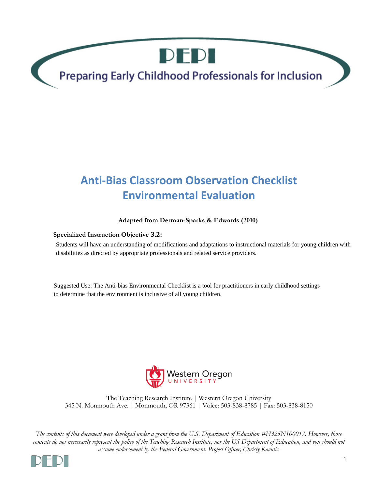DEDI

Preparing Early Childhood Professionals for Inclusion

# **Anti-Bias Classroom Observation Checklist Environmental Evaluation**

## **Adapted from Derman-Sparks & Edwards (2010)**

## **Specialized Instruction Objective 3.2:**

Students will have an understanding of modifications and adaptations to instructional materials for young children with<br>disabilities as directed by appropriate professionals and related service providers.<br>Suggested Use: Th disabilities as directed by appropriate professionals and related service providers.

Suggested Use: The Anti-bias Environmental Checklist is a tool for practitioners in early childhood settings



The Teaching Research Institute | Western Oregon University 345 N. Monmouth Ave. | Monmouth, OR 97361 | Voice: 503-838-8785 | Fax: 503-838-8150

*The contents of this document were developed under a grant from the U.S. Department of Education #H325N100017. However, those contents do not necessarily represent the policy of the Teaching Research Institute, nor the US Department of Education, and you should not assume endorsement by the Federal Government. Project Officer, Christy Kavulic.*

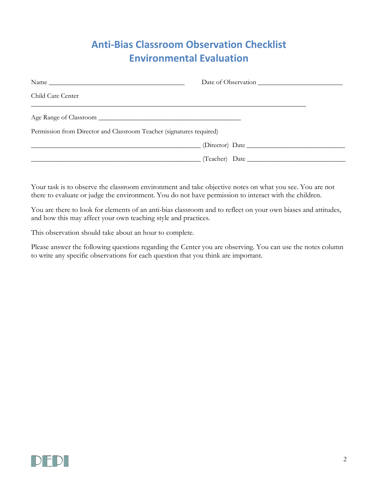## **Anti-Bias Classroom Observation Checklist Environmental Evaluation**

| Name                                                                 | Date of Observation |  |
|----------------------------------------------------------------------|---------------------|--|
| Child Care Center                                                    |                     |  |
|                                                                      |                     |  |
| Permission from Director and Classroom Teacher (signatures required) |                     |  |
|                                                                      |                     |  |
|                                                                      | (Teacher) Date      |  |

Your task is to observe the classroom environment and take objective notes on what you see. You are not there to evaluate or judge the environment. You do not have permission to interact with the children.

You are there to look for elements of an anti-bias classroom and to reflect on your own biases and attitudes, and how this may affect your own teaching style and practices.

This observation should take about an hour to complete.

Please answer the following questions regarding the Center you are observing. You can use the notes column to write any specific observations for each question that you think are important.

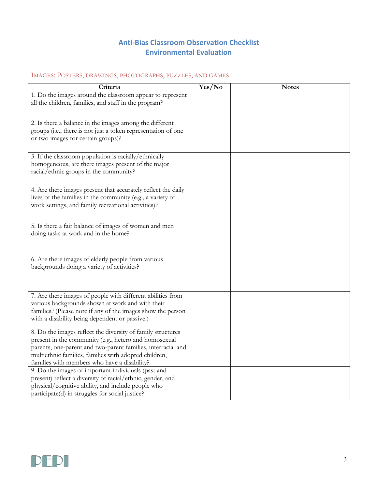## **Anti-Bias Classroom Observation Checklist Environmental Evaluation**

## IMAGES: POSTERS, DRAWINGS, PHOTOGRAPHS, PUZZLES, AND GAMES

| Criteria                                                                                                                                                                                                                                                                                      | Yes/No | <b>Notes</b> |
|-----------------------------------------------------------------------------------------------------------------------------------------------------------------------------------------------------------------------------------------------------------------------------------------------|--------|--------------|
| 1. Do the images around the classroom appear to represent<br>all the children, families, and staff in the program?                                                                                                                                                                            |        |              |
| 2. Is there a balance in the images among the different<br>groups (i.e., there is not just a token representation of one<br>or two images for certain groups)?                                                                                                                                |        |              |
| 3. If the classroom population is racially/ethnically<br>homogeneous, are there images present of the major<br>racial/ethnic groups in the community?                                                                                                                                         |        |              |
| 4. Are there images present that accurately reflect the daily<br>lives of the families in the community (e.g., a variety of<br>work settings, and family recreational activities)?                                                                                                            |        |              |
| 5. Is there a fair balance of images of women and men<br>doing tasks at work and in the home?                                                                                                                                                                                                 |        |              |
| 6. Are there images of elderly people from various<br>backgrounds doing a variety of activities?                                                                                                                                                                                              |        |              |
| 7. Are there images of people with different abilities from<br>various backgrounds shown at work and with their<br>families? (Please note if any of the images show the person<br>with a disability being dependent or passive.)                                                              |        |              |
| 8. Do the images reflect the diversity of family structures<br>present in the community (e.g., hetero and homosexual<br>parents, one-parent and two-parent families, interracial and<br>multiethnic families, families with adopted children,<br>families with members who have a disability? |        |              |
| 9. Do the images of important individuals (past and<br>present) reflect a diversity of racial/ethnic, gender, and<br>physical/cognitive ability, and include people who<br>participate(d) in struggles for social justice?                                                                    |        |              |

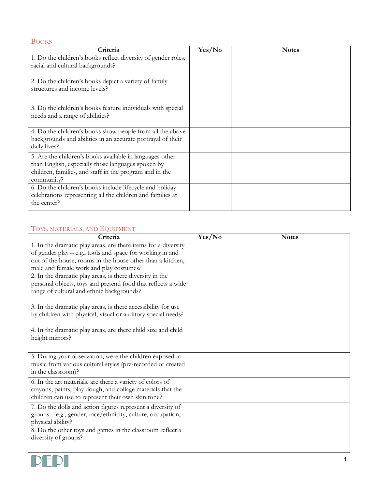BOOKS **Criteria Yes/No Notes** 1. Do the children's books reflect diversity of gender roles, racial and cultural backgrounds? 2. Do the children's books depict a variety of family structures and income levels? 3. Do the children's books feature individuals with special needs and a range of abilities? 4. Do the children's books show people from all the above backgrounds and abilities in an accurate portrayal of their daily lives? 5. Are the children's books available in languages other than English, especially those languages spoken by children, families, and staff in the program and in the community? 6. Do the children's books include lifecycle and holiday celebrations representing all the children and families at the center?

## TOYS, MATERIALS, AND EQUIPMENT

| Criteria                                                       | Yes/No | <b>Notes</b> |
|----------------------------------------------------------------|--------|--------------|
| 1. In the dramatic play areas, are there items for a diversity |        |              |
| of gender play – e.g., tools and space for working in and      |        |              |
| out of the house, rooms in the house other than a kitchen,     |        |              |
| male and female work and play costumes?                        |        |              |
| 2. In the dramatic play areas, is there diversity in the       |        |              |
| personal objects, toys and pretend food that reflects a wide   |        |              |
| range of cultural and ethnic backgrounds?                      |        |              |
| 3. In the dramatic play areas, is there accessibility for use  |        |              |
| by children with physical, visual or auditory special needs?   |        |              |
| 4. In the dramatic play areas, are there child size and child  |        |              |
| height mirrors?                                                |        |              |
|                                                                |        |              |
| 5. During your observation, were the children exposed to       |        |              |
| music from various cultural styles (pre-recorded or created    |        |              |
| in the classroom)?                                             |        |              |
| 6. In the art materials, are there a variety of colors of      |        |              |
| crayons, paints, play dough, and collage materials that the    |        |              |
| children can use to represent their own skin tone?             |        |              |
| 7. Do the dolls and action figures represent a diversity of    |        |              |
| groups - e.g., gender, race/ethnicity, culture, occupation,    |        |              |
| physical ability?                                              |        |              |
| 8. Do the other toys and games in the classroom reflect a      |        |              |
| diversity of groups?                                           |        |              |
|                                                                |        |              |

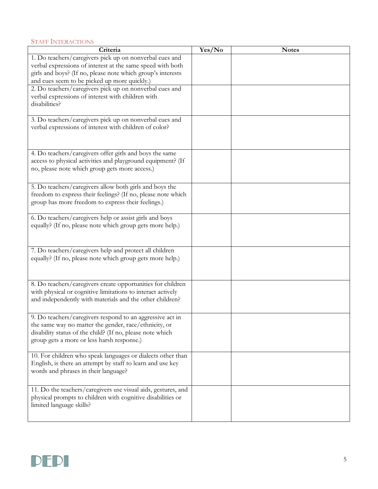#### STAFF INTERACTIONS

| Criteria                                                      | Yes/No | <b>Notes</b> |
|---------------------------------------------------------------|--------|--------------|
| 1. Do teachers/caregivers pick up on nonverbal cues and       |        |              |
| verbal expressions of interest at the same speed with both    |        |              |
| girls and boys? (If no, please note which group's interests   |        |              |
| and cues seem to be picked up more quickly.)                  |        |              |
| 2. Do teachers/caregivers pick up on nonverbal cues and       |        |              |
| verbal expressions of interest with children with             |        |              |
| disabilities?                                                 |        |              |
|                                                               |        |              |
| 3. Do teachers/caregivers pick up on nonverbal cues and       |        |              |
| verbal expressions of interest with children of color?        |        |              |
|                                                               |        |              |
|                                                               |        |              |
|                                                               |        |              |
| 4. Do teachers/caregivers offer girls and boys the same       |        |              |
| access to physical activities and playground equipment? (If   |        |              |
| no, please note which group gets more access.)                |        |              |
|                                                               |        |              |
| 5. Do teachers/caregivers allow both girls and boys the       |        |              |
| freedom to express their feelings? (If no, please note which  |        |              |
| group has more freedom to express their feelings.)            |        |              |
|                                                               |        |              |
| 6. Do teachers/caregivers help or assist girls and boys       |        |              |
| equally? (If no, please note which group gets more help.)     |        |              |
|                                                               |        |              |
|                                                               |        |              |
| 7. Do teachers/caregivers help and protect all children       |        |              |
| equally? (If no, please note which group gets more help.)     |        |              |
|                                                               |        |              |
|                                                               |        |              |
|                                                               |        |              |
| 8. Do teachers/caregivers create opportunities for children   |        |              |
| with physical or cognitive limitations to interact actively   |        |              |
| and independently with materials and the other children?      |        |              |
|                                                               |        |              |
| 9. Do teachers/caregivers respond to an aggressive act in     |        |              |
| the same way no matter the gender, race/ethnicity, or         |        |              |
| disability status of the child? (If no, please note which     |        |              |
| group gets a more or less harsh response.)                    |        |              |
|                                                               |        |              |
| 10. For children who speak languages or dialects other than   |        |              |
| English, is there an attempt by staff to learn and use key    |        |              |
| words and phrases in their language?                          |        |              |
|                                                               |        |              |
| 11. Do the teachers/caregivers use visual aids, gestures, and |        |              |
| physical prompts to children with cognitive disabilities or   |        |              |
| limited language skills?                                      |        |              |
|                                                               |        |              |
|                                                               |        |              |